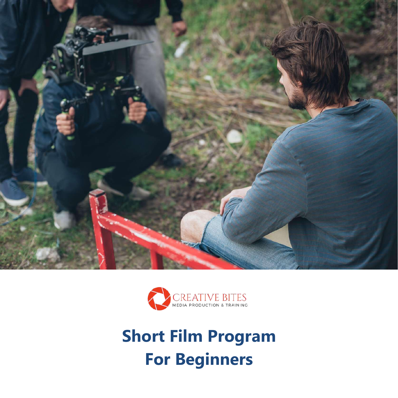



**Short Film Program For Beginners**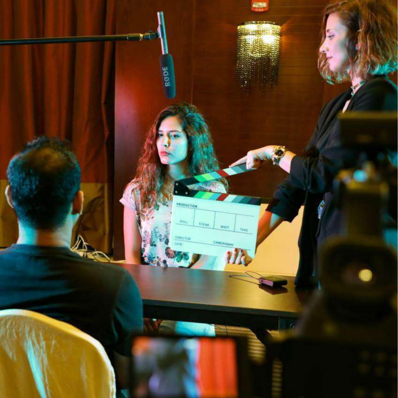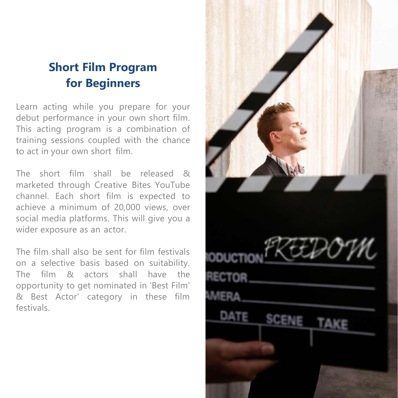# **Short Film Program for Beginners**

Learn acting while you prepare for your debut performance in your own short film. This acting program is a combination of training sessions coupled with the chance to act in your own short film.

The short film shall be released & marketed through Creative Bites YouTube channel. Each short film is expected to achieve a minimum of 20,000 views, over social media platforms. This will give you a wider exposure as an actor.

The film shall also be sent for film festivals on a selective basis based on suitability. The film & actors shall have the opportunity to get nominated in 'Best Film' & Best Actor' category in these film festivals.

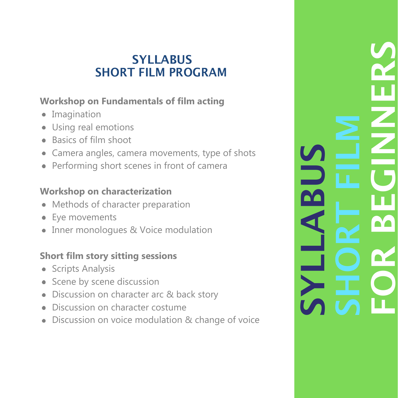## **SYLLABUS SHORT FILM PROGRAM**

#### **Workshop on Fundamentals of film acting**

- **·** Imagination
- Using real emotions
- Basics of film shoot
- Camera angles, camera movements, type of shots
- Performing short scenes in front of camera

#### **Workshop on characterization**

- Methods of character preparation
- Eye movements
- Inner monologues & Voice modulation

#### **Short film story sitting sessions**

- **•** Scripts Analysis
- Scene by scene discussion
- Discussion on character arc & back story
- Discussion on character costume
- Discussion on voice modulation & change of voice

**SYLLABUS BEGINERS**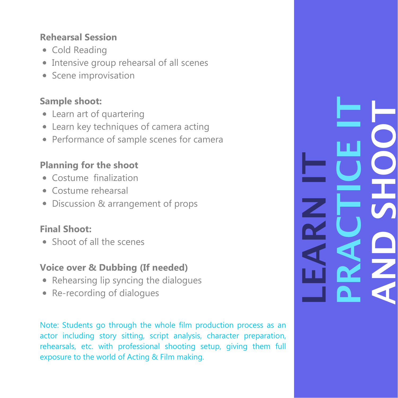#### **Rehearsal Session**

- Cold Reading
- Intensive group rehearsal of all scenes
- Scene improvisation

#### **Sample shoot:**

- Learn art of quartering
- Learn key techniques of camera acting
- Performance of sample scenes for camera

#### **Planning for the shoot**

- Costume finalization
- Costume rehearsal
- Discussion & arrangement of props

#### **Final Shoot:**

• Shoot of all the scenes

#### **Voice over & Dubbing (If needed)**

- Rehearsing lip syncing the dialogues
- Re-recording of dialogues

Note: Students go through the whole film production process as an actor including story sitting, script analysis, character preparation, rehearsals, etc. with professional shooting setup, giving them full exposure to the world of Acting & Film making.

# **LEARN FURNIT PRACTICE IT AND SHOOT**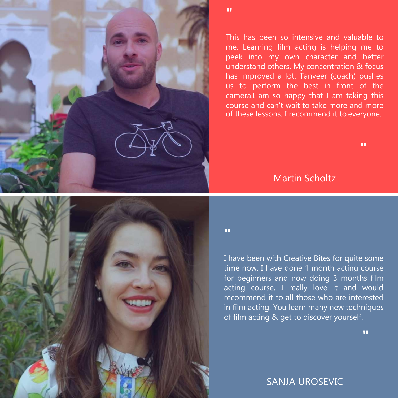

This has been so intensive and valuable to me. Learning film acting is helping me to peek into my own character and better understand others. My concentration & focus has improved a lot. Tanveer (coach) pushes us to perform the best in front of the camera.I am so happy that I am taking this course and can't wait to take more and more of these lessons. I recommend it to everyone.

#### Martin Scholtz



**"**

I have been with Creative Bites for quite some time now. I have done 1 month acting course for beginners and now doing 3 months film acting course. I really love it and would recommend it to all those who are interested in film acting. You learn many new techniques of film acting & get to discover yourself.

**"**

**"**

SANJA UROSEVIC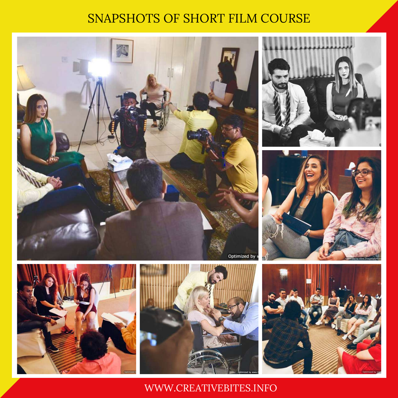# SNAPSHOTS OF SHORT FILM COURSE













WWW.CREATIVEBITES.INFO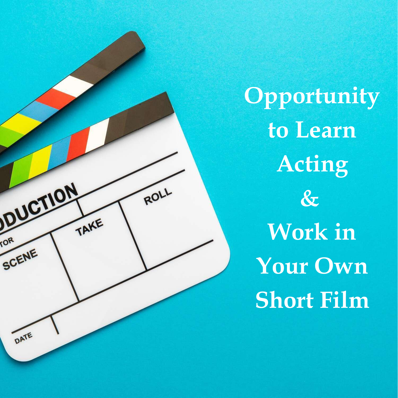

**Opportunity to Learn Acting & Work in Your Own Short Film**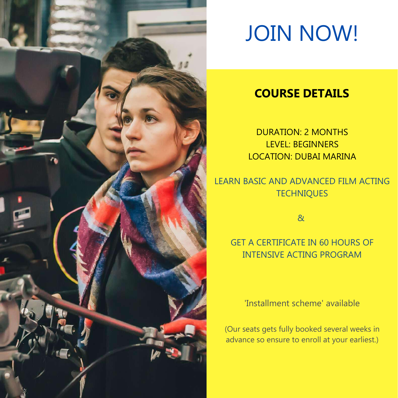

# JOIN NOW!

### **COURSE DETAILS**

DURATION: 2 MONTHS LEVEL: BEGINNERS LOCATION: DUBAI MARINA

#### LEARN BASIC AND ADVANCED FILM ACTING **TECHNIQUES**

&

#### GET A CERTIFICATE IN 60 HOURS OF INTENSIVE ACTING PROGRAM

'Installment scheme' available

(Our seats gets fully booked several weeks in advance so ensure to enroll at your earliest.)